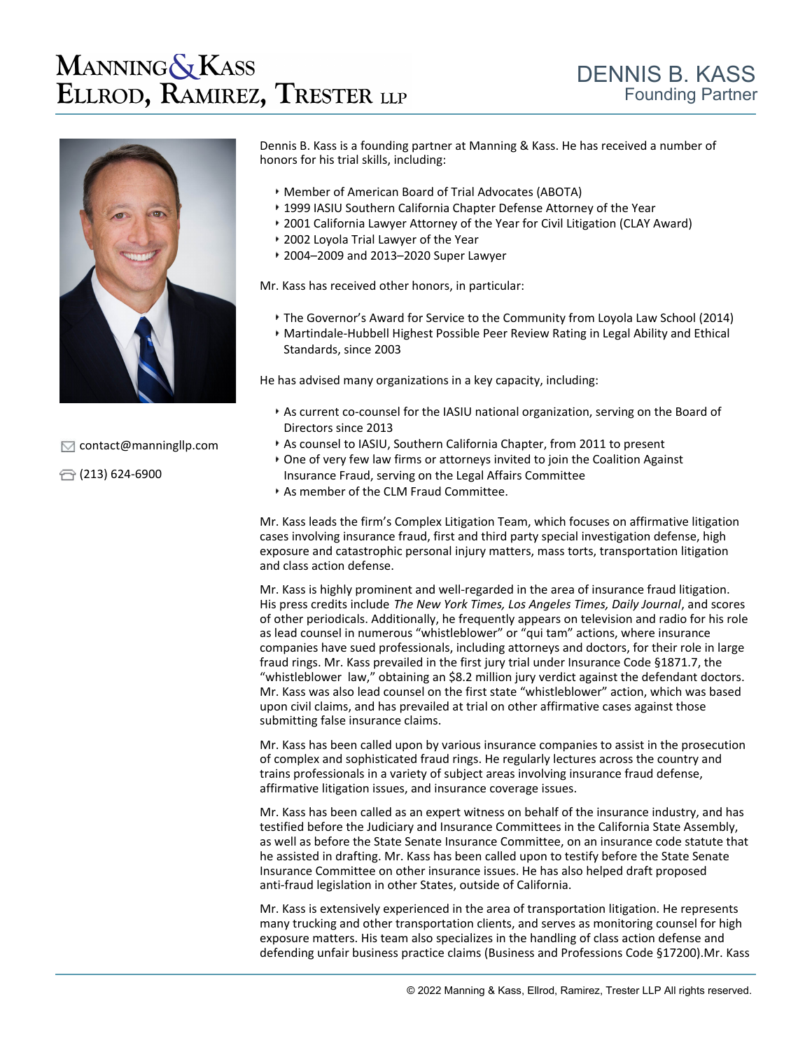# **MANNING & KASS** ELLROD, RAMIREZ, TRESTER LLP



 $\sqrt{\phantom{a}}$  [contact@manningllp.com](mailto:contact@manningllp.com)

 $\bigoplus$  (213) 624-6900

Dennis B. Kass is a founding partner at Manning & Kass. He has received a number of honors for his trial skills, including:

- Member of American Board of Trial Advocates (ABOTA)
- 1999 IASIU Southern California Chapter Defense Attorney of the Year
- 2001 California Lawyer Attorney of the Year for Civil Litigation (CLAY Award)
- 2002 Loyola Trial Lawyer of the Year
- 2004–2009 and 2013–2020 Super Lawyer

Mr. Kass has received other honors, in particular:

- The Governor's Award for Service to the Community from Loyola Law School (2014)
- Martindale-Hubbell Highest Possible Peer Review Rating in Legal Ability and Ethical Standards, since 2003

He has advised many organizations in a key capacity, including:

- As current co-counsel for the IASIU national organization, serving on the Board of Directors since 2013
- As counsel to IASIU, Southern California Chapter, from 2011 to present
- One of very few law firms or attorneys invited to join the Coalition Against Insurance Fraud, serving on the Legal Affairs Committee
- As member of the CLM Fraud Committee.

Mr. Kass leads the firm's Complex Litigation Team, which focuses on affirmative litigation cases involving insurance fraud, first and third party special investigation defense, high exposure and catastrophic personal injury matters, mass torts, transportation litigation and class action defense.

Mr. Kass is highly prominent and well-regarded in the area of insurance fraud litigation. His press credits include *The New York Times, Los Angeles Times, Daily Journal*, and scores of other periodicals. Additionally, he frequently appears on television and radio for his role as lead counsel in numerous "whistleblower" or "qui tam" actions, where insurance companies have sued professionals, including attorneys and doctors, for their role in large fraud rings. Mr. Kass prevailed in the first jury trial under Insurance Code §1871.7, the "whistleblower law," obtaining an \$8.2 million jury verdict against the defendant doctors. Mr. Kass was also lead counsel on the first state "whistleblower" action, which was based upon civil claims, and has prevailed at trial on other affirmative cases against those submitting false insurance claims.

Mr. Kass has been called upon by various insurance companies to assist in the prosecution of complex and sophisticated fraud rings. He regularly lectures across the country and trains professionals in a variety of subject areas involving insurance fraud defense, affirmative litigation issues, and insurance coverage issues.

Mr. Kass has been called as an expert witness on behalf of the insurance industry, and has testified before the Judiciary and Insurance Committees in the California State Assembly, as well as before the State Senate Insurance Committee, on an insurance code statute that he assisted in drafting. Mr. Kass has been called upon to testify before the State Senate Insurance Committee on other insurance issues. He has also helped draft proposed anti-fraud legislation in other States, outside of California.

Mr. Kass is extensively experienced in the area of transportation litigation. He represents many trucking and other transportation clients, and serves as monitoring counsel for high exposure matters. His team also specializes in the handling of class action defense and defending unfair business practice claims (Business and Professions Code §17200).Mr. Kass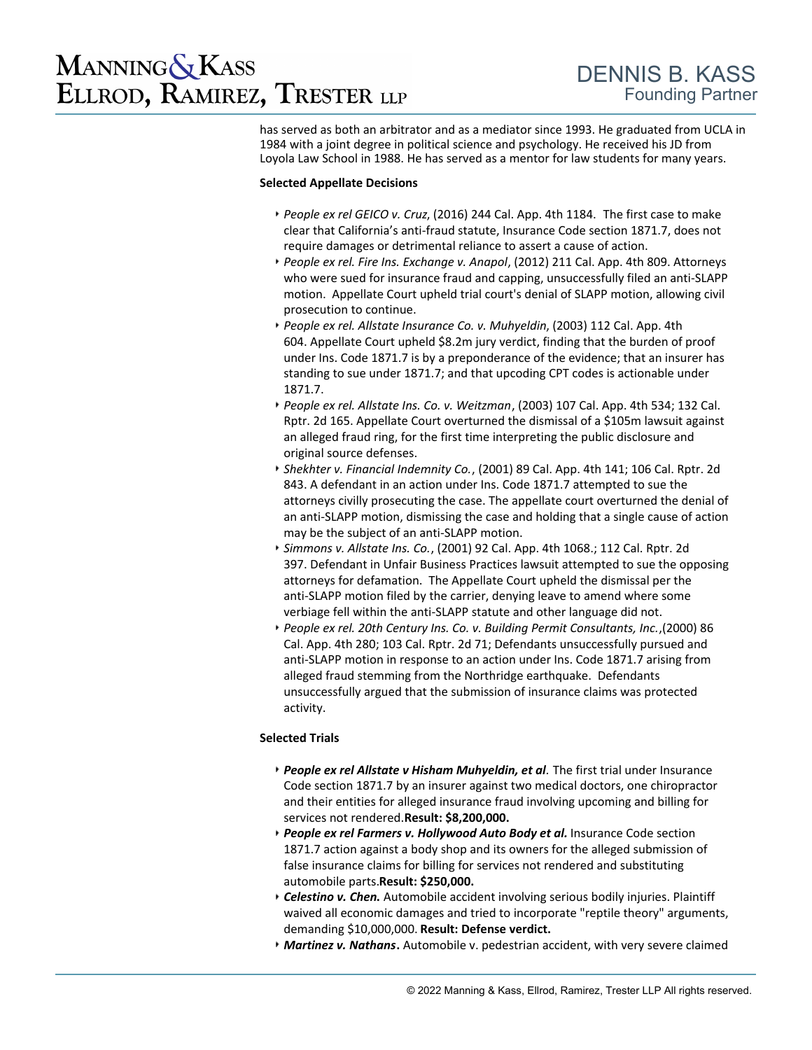## **MANNING & KASS** ELLROD, RAMIREZ, TRESTER LLP

has served as both an arbitrator and as a mediator since 1993. He graduated from UCLA in 1984 with a joint degree in political science and psychology. He received his JD from Loyola Law School in 1988. He has served as a mentor for law students for many years.

#### **Selected Appellate Decisions**

- *[People ex rel GEICO v. Cruz](https://www.lexis.com/research/retrieve?_m=ff9809a617e07e3c41946e69c8df7dec&docnum=48&_fmtstr=FULL&_startdoc=41&wchp=dGLbVzt-zSkAl&_md5=a624a34d9d894d1b1f8f1cf0b3536763)*, (2016) 244 Cal. App. 4th 1184.The first case to make clear that California's anti-fraud statute, Insurance Code section 1871.7, does not require damages or detrimental reliance to assert a cause of action.
- *[People ex rel. Fire Ins. Exchange v. Anapol](https://www.lexis.com/research/retrieve?_m=a3a3f3c5491609619da921aee2262a4b&docnum=53&_fmtstr=FULL&_startdoc=51&wchp=dGLbVzt-zSkAl&_md5=b61d0113561637533b7c93edb2302228)*, (2012) 211 Cal. App. 4th 809. Attorneys who were sued for insurance fraud and capping, unsuccessfully filed an anti-SLAPP motion. Appellate Court upheld trial court's denial of SLAPP motion, allowing civil prosecution to continue.
- *[People ex rel. Allstate Insurance Co. v. Muhyeldin](https://www.lexis.com/research/retrieve?_m=ff9809a617e07e3c41946e69c8df7dec&docnum=44&_fmtstr=FULL&_startdoc=41&wchp=dGLbVzt-zSkAl&_md5=a624a34d9d894d1b1f8f1cf0b3536763)*, (2003) 112 Cal. App. 4th 604. Appellate Court upheld \$8.2m jury verdict, finding that the burden of proof under Ins. Code 1871.7 is by a preponderance of the evidence; that an insurer has standing to sue under 1871.7; and that upcoding CPT codes is actionable under 1871.7.
- *[People ex rel. Allstate Ins. Co. v. Weitzman](https://www.lexis.com/research/retrieve?_m=4e67cb09fa72cbd5bfb3b4dd95e9e1a6&docnum=16&_fmtstr=FULL&_startdoc=11&wchp=dGLbVzt-zSkAl&_md5=cc47f7e551d805b4d7888063d0a225f7)*, (2003) 107 Cal. App. 4th 534; 132 Cal. Rptr. 2d 165. Appellate Court overturned the dismissal of a \$105m lawsuit against an alleged fraud ring, for the first time interpreting the public disclosure and original source defenses.
- *[Shekhter v. Financial Indemnity Co.](https://www.lexis.com/research/retrieve?_m=3a84702cdecb3e6feb4ba57db0b371d9&docnum=1&_fmtstr=FULL&_startdoc=1&wchp=dGLbVzt-zSkAl&_md5=b9393b5df3fa9da27f30991f77d20caa)*, (2001) 89 Cal. App. 4th 141; 106 Cal. Rptr. 2d 843. A defendant in an action under Ins. Code 1871.7 attempted to sue the attorneys civilly prosecuting the case. The appellate court overturned the denial of an anti-SLAPP motion, dismissing the case and holding that a single cause of action may be the subject of an anti-SLAPP motion.
- *[Simmons v. Allstate Ins. Co.](https://www.lexis.com/research/retrieve?_m=58cf0adfdab41b89b0cd091d64c183a1&docnum=31&_fmtstr=FULL&_startdoc=31&wchp=dGLbVzt-zSkAl&_md5=fa21b128dbca21bedc4e008a4d2a1c6b)*, (2001) 92 Cal. App. 4th 1068.; 112 Cal. Rptr. 2d 397. Defendant in Unfair Business Practices lawsuit attempted to sue the opposing attorneys for defamation. The Appellate Court upheld the dismissal per the anti-SLAPP motion filed by the carrier, denying leave to amend where some verbiage fell within the anti-SLAPP statute and other language did not.
- *[People ex rel. 20th Century Ins. Co. v. Building Permit Consultants, Inc.](https://www.lexis.com/research/retrieve?_m=58cf0adfdab41b89b0cd091d64c183a1&docnum=39&_fmtstr=FULL&_startdoc=31&wchp=dGLbVzt-zSkAl&_md5=fa21b128dbca21bedc4e008a4d2a1c6b)*,(2000) 86 Cal. App. 4th 280; 103 Cal. Rptr. 2d 71; Defendants unsuccessfully pursued and anti-SLAPP motion in response to an action under Ins. Code 1871.7 arising from alleged fraud stemming from the Northridge earthquake. Defendants unsuccessfully argued that the submission of insurance claims was protected activity.

### **Selected Trials**

- *People ex rel Allstate v Hisham Muhyeldin, et al.* The first trial under Insurance Code section 1871.7 by an insurer against two medical doctors, one chiropractor and their entities for alleged insurance fraud involving upcoming and billing for services not rendered. **Result: \$8,200,000.**
- *People ex rel Farmers v. Hollywood Auto Body et al.* Insurance Code section 1871.7 action against a body shop and its owners for the alleged submission of false insurance claims for billing for services not rendered and substituting automobile parts. **Result: \$250,000.**
- *Celestino v. Chen***.** Automobile accident involving serious bodily injuries. Plaintiff waived all economic damages and tried to incorporate "reptile theory" arguments, demanding \$10,000,000. **Result: Defense verdict.**
- *Martinez v. Nathans***.** Automobile v. pedestrian accident, with very severe claimed